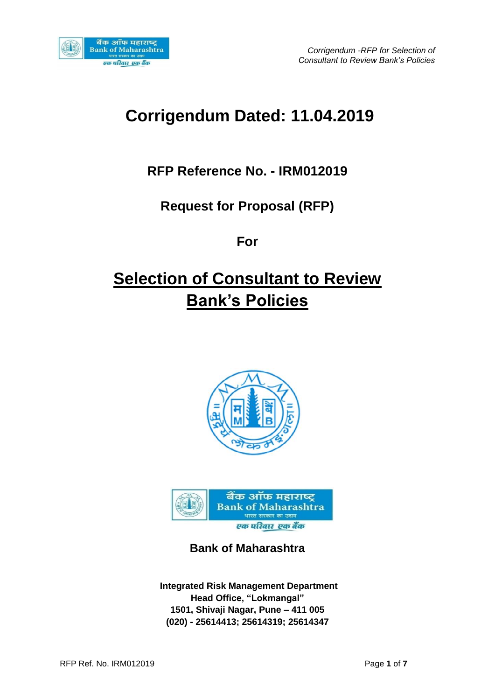

# **Corrigendum Dated: 11.04.2019**

## **RFP Reference No. - IRM012019**

## **Request for Proposal (RFP)**

### **For**

# **Selection of Consultant to Review Bank's Policies**





**Bank of Maharashtra**

**Integrated Risk Management Department Head Office, "Lokmangal" 1501, Shivaji Nagar, Pune – 411 005 (020) - 25614413; 25614319; 25614347**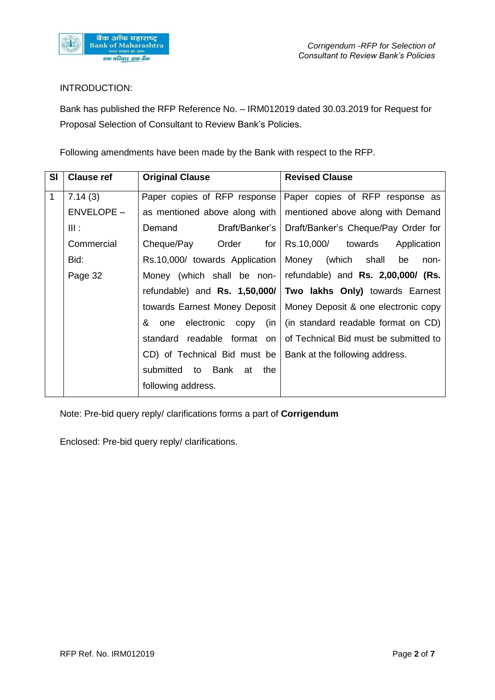

### INTRODUCTION:

Bank has published the RFP Reference No. – IRM012019 dated 30.03.2019 for Request for Proposal Selection of Consultant to Review Bank's Policies.

Following amendments have been made by the Bank with respect to the RFP.

| <b>SI</b>    | <b>Clause ref</b> | <b>Original Clause</b>                 | <b>Revised Clause</b>                                               |  |
|--------------|-------------------|----------------------------------------|---------------------------------------------------------------------|--|
| $\mathbf{1}$ | 7.14(3)           | Paper copies of RFP response           | Paper copies of RFP response as                                     |  |
|              | <b>ENVELOPE -</b> | as mentioned above along with          | mentioned above along with Demand                                   |  |
|              | III:              | Demand<br>Draft/Banker's               | Draft/Banker's Cheque/Pay Order for                                 |  |
|              | Commercial        | Order<br>for<br>Cheque/Pay             | Rs.10,000/ towards<br>Application                                   |  |
|              | Bid:              | Rs.10,000/ towards Application         | Money<br>(which shall<br>be<br>non-                                 |  |
|              | Page 32           | Money (which shall be non-             | refundable) and Rs. 2,00,000/ (Rs.                                  |  |
|              |                   | refundable) and $\text{Rs.}$ 1,50,000/ | Two lakhs Only) towards Earnest                                     |  |
|              |                   |                                        | towards Earnest Money Deposit   Money Deposit & one electronic copy |  |
|              |                   | & one<br>electronic<br>(in<br>copy     | (in standard readable format on CD)                                 |  |
|              |                   | standard readable format<br><b>on</b>  | of Technical Bid must be submitted to                               |  |
|              |                   | CD) of Technical Bid must be           | Bank at the following address.                                      |  |
|              |                   | submitted to Bank<br>the<br>at         |                                                                     |  |
|              |                   | following address.                     |                                                                     |  |

Note: Pre-bid query reply/ clarifications forms a part of **Corrigendum**

Enclosed: Pre-bid query reply/ clarifications.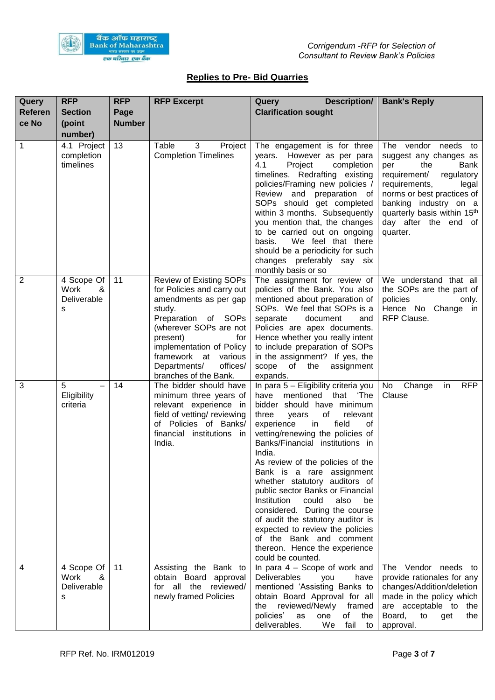

### **Replies to Pre- Bid Quarries**

| Query<br><b>Referen</b> | <b>RFP</b><br><b>Section</b>                             | <b>RFP</b>            | <b>RFP Excerpt</b>                                                                                                                                                                                                                                                    | <b>Description/</b><br>Query<br><b>Clarification sought</b>                                                                                                                                                                                                                                                                                                                                                                                                                                                                                                                                                                           | <b>Bank's Reply</b>                                                                                                                                                                                                                                                  |
|-------------------------|----------------------------------------------------------|-----------------------|-----------------------------------------------------------------------------------------------------------------------------------------------------------------------------------------------------------------------------------------------------------------------|---------------------------------------------------------------------------------------------------------------------------------------------------------------------------------------------------------------------------------------------------------------------------------------------------------------------------------------------------------------------------------------------------------------------------------------------------------------------------------------------------------------------------------------------------------------------------------------------------------------------------------------|----------------------------------------------------------------------------------------------------------------------------------------------------------------------------------------------------------------------------------------------------------------------|
| ce No                   | (point<br>number)                                        | Page<br><b>Number</b> |                                                                                                                                                                                                                                                                       |                                                                                                                                                                                                                                                                                                                                                                                                                                                                                                                                                                                                                                       |                                                                                                                                                                                                                                                                      |
| 1                       | 4.1 Project<br>completion<br>timelines                   | 13                    | Table<br>3<br>Project<br><b>Completion Timelines</b>                                                                                                                                                                                                                  | The engagement is for three<br>However as per para<br>vears.<br>4.1<br>completion<br>Project<br>timelines. Redrafting existing<br>policies/Framing new policies /<br>Review and preparation of<br>SOPs should get completed<br>within 3 months. Subsequently<br>you mention that, the changes<br>to be carried out on ongoing<br>We feel that there<br>basis.<br>should be a periodicity for such<br>changes preferably say six<br>monthly basis or so                                                                                                                                                                                | The vendor needs<br>to<br>suggest any changes as<br>the<br>Bank<br>per<br>regulatory<br>requirement/<br>requirements,<br>legal<br>norms or best practices of<br>banking industry on a<br>quarterly basis within 15 <sup>th</sup><br>day after the end of<br>quarter. |
| $\overline{2}$          | 4 Scope Of<br>Work<br>&<br>Deliverable<br>S              | 11                    | Review of Existing SOPs<br>for Policies and carry out<br>amendments as per gap<br>study.<br>Preparation of SOPs<br>(wherever SOPs are not<br>present)<br>for<br>implementation of Policy<br>framework at various<br>Departments/<br>offices/<br>branches of the Bank. | The assignment for review of<br>policies of the Bank. You also<br>mentioned about preparation of<br>SOPs. We feel that SOPs is a<br>separate<br>document<br>and<br>Policies are apex documents.<br>Hence whether you really intent<br>to include preparation of SOPs<br>in the assignment? If yes, the<br>scope<br>assignment<br>of<br>the<br>expands.                                                                                                                                                                                                                                                                                | We understand that all<br>the SOPs are the part of<br>policies<br>only.<br>Hence No Change in<br>RFP Clause.                                                                                                                                                         |
| 3                       | 5<br>$\overline{\phantom{0}}$<br>Eligibility<br>criteria | 14                    | The bidder should have<br>minimum three years of<br>relevant experience in<br>field of vetting/ reviewing<br>of Policies of Banks/<br>financial institutions in<br>India.                                                                                             | In para 5 - Eligibility criteria you<br>have<br>mentioned<br>that<br>'The<br>bidder should have minimum<br>of<br>three<br>years<br>relevant<br>experience<br>field<br>in<br>0f<br>vetting/renewing the policies of<br>Banks/Financial institutions in<br>India.<br>As review of the policies of the<br>Bank is a rare assignment<br>whether statutory auditors of<br>public sector Banks or Financial<br>Institution<br>could<br>also<br>be<br>considered. During the course<br>of audit the statutory auditor is<br>expected to review the policies<br>of the Bank and comment<br>thereon. Hence the experience<br>could be counted. | No<br>Change<br><b>RFP</b><br>in<br>Clause                                                                                                                                                                                                                           |
| 4                       | 4 Scope Of<br>&<br>Work<br>Deliverable<br>S              | 11                    | Assisting the Bank to<br>obtain Board approval<br>for all the reviewed/<br>newly framed Policies                                                                                                                                                                      | In para $4 -$ Scope of work and<br>Deliverables<br>you<br>have<br>mentioned 'Assisting Banks to<br>obtain Board Approval for all<br>the reviewed/Newly framed<br>policies'<br>as<br>of<br>one<br>the<br>deliverables.<br>We<br>fail to                                                                                                                                                                                                                                                                                                                                                                                                | The Vendor needs to<br>provide rationales for any<br>changes/Addition/deletion<br>made in the policy which<br>are acceptable to the<br>Board,<br>to<br>get<br>the<br>approval.                                                                                       |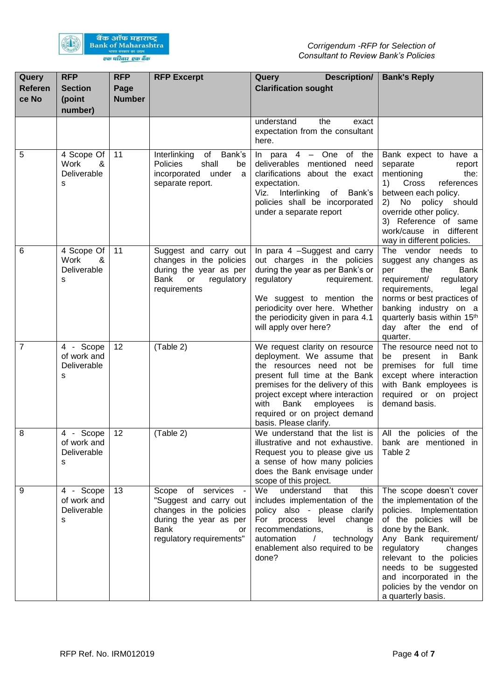

| Query<br><b>Referen</b><br>ce No | <b>RFP</b><br><b>Section</b><br>(point<br>number) | <b>RFP</b><br>Page<br><b>Number</b> | <b>RFP Excerpt</b>                                                                                                                                  | Description/<br>Query<br><b>Clarification sought</b>                                                                                                                                                                                                                                              | <b>Bank's Reply</b>                                                                                                                                                                                                                                                                                                   |
|----------------------------------|---------------------------------------------------|-------------------------------------|-----------------------------------------------------------------------------------------------------------------------------------------------------|---------------------------------------------------------------------------------------------------------------------------------------------------------------------------------------------------------------------------------------------------------------------------------------------------|-----------------------------------------------------------------------------------------------------------------------------------------------------------------------------------------------------------------------------------------------------------------------------------------------------------------------|
|                                  |                                                   |                                     |                                                                                                                                                     | understand<br>the<br>exact<br>expectation from the consultant<br>here.                                                                                                                                                                                                                            |                                                                                                                                                                                                                                                                                                                       |
| 5                                | 4 Scope Of<br>Work<br>&<br>Deliverable<br>S       | 11                                  | of Bank's<br>Interlinking<br>shall<br>Policies<br>be<br>incorporated under<br>a<br>separate report.                                                 | In para $4 -$ One of the<br>deliverables mentioned need<br>clarifications about the exact<br>expectation.<br>Viz. Interlinking of Bank's<br>policies shall be incorporated<br>under a separate report                                                                                             | Bank expect to have a<br>separate<br>report<br>mentioning<br>the:<br>references<br>1)<br>Cross<br>between each policy.<br>No policy should<br>2)<br>override other policy.<br>3) Reference of same<br>work/cause in different<br>way in different policies.                                                           |
| 6                                | 4 Scope Of<br>Work<br>&<br>Deliverable<br>s       | 11                                  | Suggest and carry out<br>changes in the policies<br>during the year as per<br>Bank<br>or<br>regulatory<br>requirements                              | In para 4 -Suggest and carry<br>out charges in the policies<br>during the year as per Bank's or<br>regulatory<br>requirement.<br>We suggest to mention the<br>periodicity over here. Whether<br>the periodicity given in para 4.1<br>will apply over here?                                        | The vendor needs to<br>suggest any changes as<br>Bank<br>per<br>the<br>requirement/<br>regulatory<br>requirements,<br>legal<br>norms or best practices of<br>banking industry on a<br>quarterly basis within 15 <sup>th</sup><br>day after the end of<br>quarter.                                                     |
| $\overline{7}$                   | 4 - Scope<br>of work and<br>Deliverable<br>s      | 12                                  | (Table 2)                                                                                                                                           | We request clarity on resource<br>deployment. We assume that<br>the resources need not be<br>present full time at the Bank<br>premises for the delivery of this<br>project except where interaction<br>Bank<br>employees<br>with<br>is<br>required or on project demand<br>basis. Please clarify. | The resource need not to<br>Bank<br>be<br>present<br>in<br>premises for full time<br>except where interaction<br>with Bank employees is<br>required or on project<br>demand basis.                                                                                                                                    |
| 8                                | 4 - Scope<br>of work and<br>Deliverable<br>s      | 12                                  | (Table 2)                                                                                                                                           | We understand that the list is<br>illustrative and not exhaustive.<br>Request you to please give us<br>a sense of how many policies<br>does the Bank envisage under<br>scope of this project.                                                                                                     | All the policies of the<br>bank are mentioned in<br>Table 2                                                                                                                                                                                                                                                           |
| 9                                | 4 - Scope<br>of work and<br>Deliverable<br>s      | 13                                  | Scope of services -<br>"Suggest and carry out<br>changes in the policies<br>during the year as per<br><b>Bank</b><br>or<br>regulatory requirements" | We <sup>-</sup><br>understand<br>this<br>that<br>includes implementation of the<br>policy also - please clarify<br>For process level change<br>recommendations,<br>is<br>automation<br>technology<br>$\sqrt{2}$<br>enablement also required to be<br>done?                                        | The scope doesn't cover<br>the implementation of the<br>policies. Implementation<br>of the policies will be<br>done by the Bank.<br>Any Bank requirement/<br>regulatory<br>changes<br>relevant to the policies<br>needs to be suggested<br>and incorporated in the<br>policies by the vendor on<br>a quarterly basis. |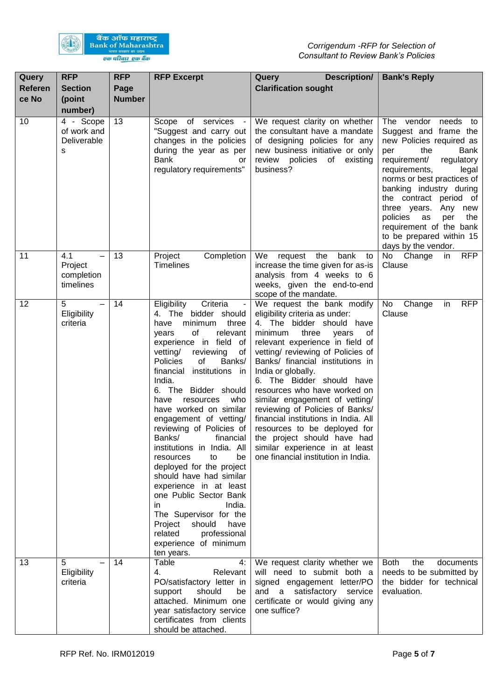

| Query<br><b>Referen</b><br>ce No | <b>RFP</b><br><b>Section</b><br>(point<br>number) | <b>RFP</b><br>Page<br><b>Number</b> | <b>RFP Excerpt</b>                                                                                                                                                                                                                                                                                                                                                                                                                                                                                                                                                                                                                                                                                           | Description/<br>Query<br><b>Clarification sought</b>                                                                                                                                                                                                                                                                                                                                                                                                                                                                                                                             | <b>Bank's Reply</b>                                                                                                                                                                                                                                                                                                                                                                   |
|----------------------------------|---------------------------------------------------|-------------------------------------|--------------------------------------------------------------------------------------------------------------------------------------------------------------------------------------------------------------------------------------------------------------------------------------------------------------------------------------------------------------------------------------------------------------------------------------------------------------------------------------------------------------------------------------------------------------------------------------------------------------------------------------------------------------------------------------------------------------|----------------------------------------------------------------------------------------------------------------------------------------------------------------------------------------------------------------------------------------------------------------------------------------------------------------------------------------------------------------------------------------------------------------------------------------------------------------------------------------------------------------------------------------------------------------------------------|---------------------------------------------------------------------------------------------------------------------------------------------------------------------------------------------------------------------------------------------------------------------------------------------------------------------------------------------------------------------------------------|
| 10                               | 4 - Scope<br>of work and<br>Deliverable<br>s      | 13                                  | Scope of services -<br>"Suggest and carry out<br>changes in the policies<br>during the year as per<br><b>Bank</b><br>or<br>regulatory requirements"                                                                                                                                                                                                                                                                                                                                                                                                                                                                                                                                                          | We request clarity on whether<br>the consultant have a mandate<br>of designing policies for any<br>new business initiative or only<br>review policies of<br>existing<br>business?                                                                                                                                                                                                                                                                                                                                                                                                | The vendor<br>needs<br>to<br>Suggest and frame the<br>new Policies required as<br>the<br>Bank<br>per<br>requirement/<br>regulatory<br>requirements,<br>legal<br>norms or best practices of<br>banking industry during<br>the contract period of<br>three years. Any new<br>policies<br>as<br>per<br>the<br>requirement of the bank<br>to be prepared within 15<br>days by the vendor. |
| 11                               | 4.1<br>Project<br>completion<br>timelines         | 13                                  | Completion<br>Project<br><b>Timelines</b>                                                                                                                                                                                                                                                                                                                                                                                                                                                                                                                                                                                                                                                                    | bank<br>We<br>request the<br>to<br>increase the time given for as-is<br>analysis from 4 weeks to 6<br>weeks, given the end-to-end<br>scope of the mandate.                                                                                                                                                                                                                                                                                                                                                                                                                       | <b>RFP</b><br>No Change<br>in<br>Clause                                                                                                                                                                                                                                                                                                                                               |
| 12                               | 5<br>Eligibility<br>criteria                      | 14                                  | Criteria<br>Eligibility<br>4. The bidder should<br>minimum<br>three<br>have<br>of<br>relevant<br>years<br>experience in field of<br>vetting/<br>reviewing<br>оf<br>Policies<br>of<br>Banks/<br>institutions in<br>financial<br>India.<br>6. The Bidder should<br>who<br>have<br>resources<br>have worked on similar<br>engagement of vetting/<br>reviewing of Policies of<br>Banks/<br>financial<br>institutions in India. All<br>to<br>be<br>resources<br>deployed for the project<br>should have had similar<br>experience in at least<br>one Public Sector Bank<br>India.<br>in.<br>The Supervisor for the<br>should<br>have<br>Project<br>related<br>professional<br>experience of minimum<br>ten years. | We request the bank modify<br>eligibility criteria as under:<br>4. The bidder should have<br>minimum<br>three<br>of<br>years<br>relevant experience in field of<br>vetting/ reviewing of Policies of<br>Banks/ financial institutions in<br>India or globally.<br>6. The Bidder should have<br>resources who have worked on<br>similar engagement of vetting/<br>reviewing of Policies of Banks/<br>financial institutions in India. All<br>resources to be deployed for<br>the project should have had<br>similar experience in at least<br>one financial institution in India. | <b>RFP</b><br>No<br>Change<br>in<br>Clause                                                                                                                                                                                                                                                                                                                                            |
| 13                               | 5<br>Eligibility<br>criteria                      | 14                                  | 4:<br>Table<br>4.<br>Relevant<br>PO/satisfactory letter in<br>should<br>support<br>be<br>attached. Minimum one<br>year satisfactory service<br>certificates from clients<br>should be attached.                                                                                                                                                                                                                                                                                                                                                                                                                                                                                                              | We request clarity whether we<br>will need to submit both a<br>signed engagement letter/PO<br>and a satisfactory service<br>certificate or would giving any<br>one suffice?                                                                                                                                                                                                                                                                                                                                                                                                      | Both<br>the<br>documents<br>needs to be submitted by<br>the bidder for technical<br>evaluation.                                                                                                                                                                                                                                                                                       |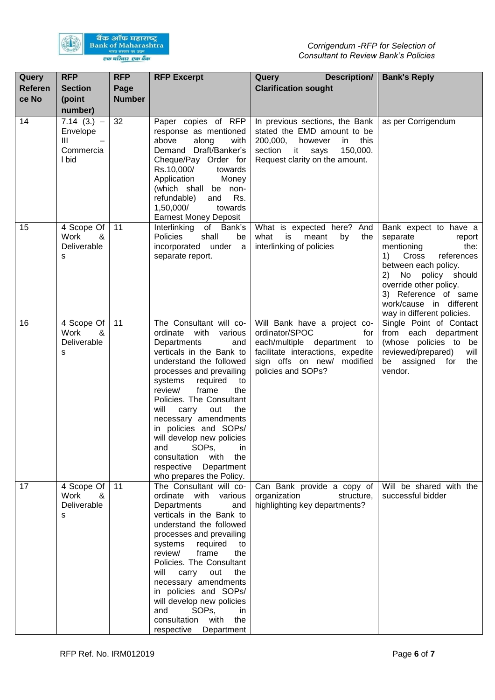

| Query<br><b>Referen</b><br>ce No | <b>RFP</b><br><b>Section</b><br>(point<br>number)   | <b>RFP</b><br>Page<br><b>Number</b> | <b>RFP Excerpt</b>                                                                                                                                                                                                                                                                                                                                                                                                                                                                   | Description/<br>Query<br><b>Clarification sought</b>                                                                                                                          | <b>Bank's Reply</b>                                                                                                                                                                                                                                         |
|----------------------------------|-----------------------------------------------------|-------------------------------------|--------------------------------------------------------------------------------------------------------------------------------------------------------------------------------------------------------------------------------------------------------------------------------------------------------------------------------------------------------------------------------------------------------------------------------------------------------------------------------------|-------------------------------------------------------------------------------------------------------------------------------------------------------------------------------|-------------------------------------------------------------------------------------------------------------------------------------------------------------------------------------------------------------------------------------------------------------|
| 14                               | $7.14(3.) -$<br>Envelope<br>Ш<br>Commercia<br>I bid | 32                                  | Paper copies of RFP<br>response as mentioned<br>above<br>along<br>with<br>Demand Draft/Banker's<br>Cheque/Pay Order for<br>Rs.10,000/<br>towards<br>Application<br>Money<br>(which shall be non-<br>Rs.<br>refundable)<br>and<br>1,50,000/<br>towards<br><b>Earnest Money Deposit</b>                                                                                                                                                                                                | In previous sections, the Bank<br>stated the EMD amount to be<br>200,000,<br>this<br>however<br>in<br>section<br>150,000.<br>$-$ it<br>says<br>Request clarity on the amount. | as per Corrigendum                                                                                                                                                                                                                                          |
| 15                               | 4 Scope Of<br>Work<br>&<br>Deliverable<br>s         | 11                                  | Interlinking of Bank's<br>Policies<br>shall<br>be<br>incorporated under a<br>separate report.                                                                                                                                                                                                                                                                                                                                                                                        | What is expected here? And<br>what<br>is<br>meant<br>by<br>the<br>interlinking of policies                                                                                    | Bank expect to have a<br>separate<br>report<br>mentioning<br>the:<br>Cross<br>1)<br>references<br>between each policy.<br>No policy should<br>2)<br>override other policy.<br>3) Reference of same<br>work/cause in different<br>way in different policies. |
| 16                               | 4 Scope Of<br>Work<br>&<br>Deliverable<br>S         | 11                                  | The Consultant will co-<br>various<br>ordinate with<br>Departments<br>and<br>verticals in the Bank to<br>understand the followed<br>processes and prevailing<br>systems<br>required<br>to<br>frame<br>review/<br>the<br>Policies. The Consultant<br>will<br>carry out<br>the<br>necessary amendments<br>in policies and SOPs/<br>will develop new policies<br>SOP <sub>s</sub> ,<br>and<br>in<br>with<br>consultation<br>the<br>respective<br>Department<br>who prepares the Policy. | Will Bank have a project co-<br>ordinator/SPOC<br>for<br>each/multiple department to<br>facilitate interactions, expedite<br>sign offs on new/ modified<br>policies and SOPs? | Single Point of Contact<br>from each department<br>(whose policies to<br>be<br>reviewed/prepared)<br>will<br>be assigned<br>for<br>the<br>vendor.                                                                                                           |
| 17                               | 4 Scope Of<br>Work<br>&<br>Deliverable<br>S         | 11                                  | The Consultant will co-<br>ordinate with various<br>Departments<br>and<br>verticals in the Bank to<br>understand the followed<br>processes and prevailing<br>systems required<br>to<br>review/<br>frame<br>the<br>Policies. The Consultant<br>will carry out<br>the<br>necessary amendments<br>in policies and SOPs/<br>will develop new policies<br>and<br>SOP <sub>s</sub><br>in.<br>with<br>the<br>consultation<br>respective<br>Department                                       | Can Bank provide a copy of<br>organization<br>structure,<br>highlighting key departments?                                                                                     | Will be shared with the<br>successful bidder                                                                                                                                                                                                                |